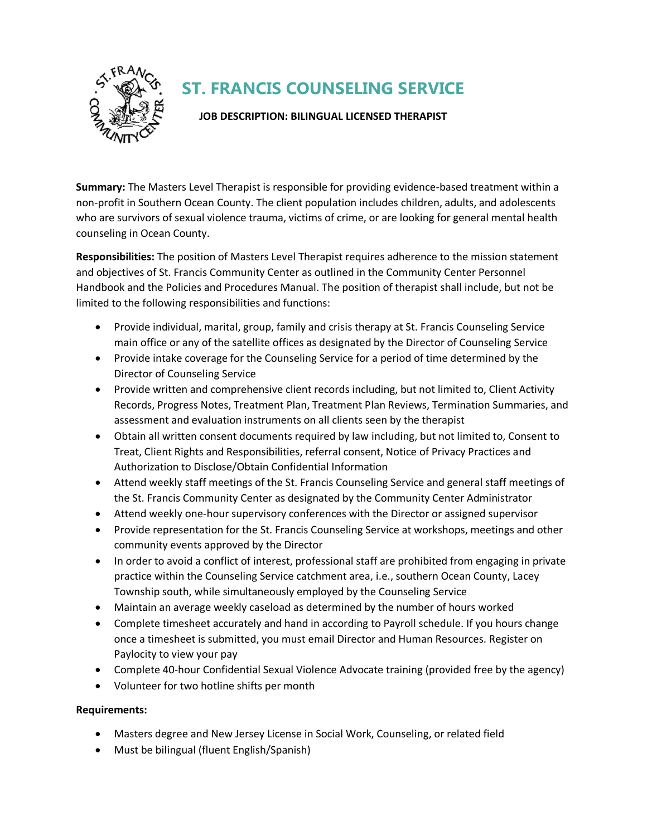

## **ST. FRANCIS COUNSELING SERVICE**

## **JOB DESCRIPTION: BILINGUAL LICENSED THERAPIST**

**Summary:** The Masters Level Therapist is responsible for providing evidence-based treatment within a non-profit in Southern Ocean County. The client population includes children, adults, and adolescents who are survivors of sexual violence trauma, victims of crime, or are looking for general mental health counseling in Ocean County.

**Responsibilities:** The position of Masters Level Therapist requires adherence to the mission statement and objectives of St. Francis Community Center as outlined in the Community Center Personnel Handbook and the Policies and Procedures Manual. The position of therapist shall include, but not be limited to the following responsibilities and functions:

- Provide individual, marital, group, family and crisis therapy at St. Francis Counseling Service main office or any of the satellite offices as designated by the Director of Counseling Service
- Provide intake coverage for the Counseling Service for a period of time determined by the Director of Counseling Service
- Provide written and comprehensive client records including, but not limited to, Client Activity Records, Progress Notes, Treatment Plan, Treatment Plan Reviews, Termination Summaries, and assessment and evaluation instruments on all clients seen by the therapist
- Obtain all written consent documents required by law including, but not limited to, Consent to Treat, Client Rights and Responsibilities, referral consent, Notice of Privacy Practices and Authorization to Disclose/Obtain Confidential Information
- Attend weekly staff meetings of the St. Francis Counseling Service and general staff meetings of the St. Francis Community Center as designated by the Community Center Administrator
- Attend weekly one-hour supervisory conferences with the Director or assigned supervisor
- Provide representation for the St. Francis Counseling Service at workshops, meetings and other community events approved by the Director
- In order to avoid a conflict of interest, professional staff are prohibited from engaging in private practice within the Counseling Service catchment area, i.e., southern Ocean County, Lacey Township south, while simultaneously employed by the Counseling Service
- Maintain an average weekly caseload as determined by the number of hours worked
- Complete timesheet accurately and hand in according to Payroll schedule. If you hours change once a timesheet is submitted, you must email Director and Human Resources. Register on Paylocity to view your pay
- Complete 40-hour Confidential Sexual Violence Advocate training (provided free by the agency)
- Volunteer for two hotline shifts per month

## **Requirements:**

- Masters degree and New Jersey License in Social Work, Counseling, or related field
- Must be bilingual (fluent English/Spanish)